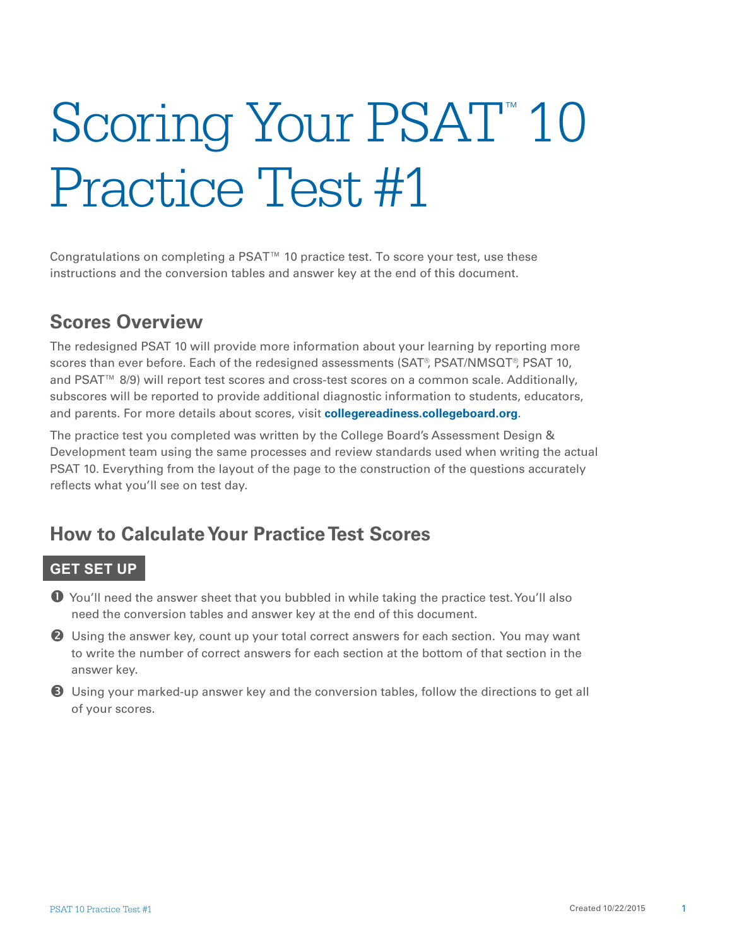# Scoring Your PSAT<sup>™</sup> 10 Practice Test #1

Congratulations on completing a PSAT™ 10 practice test. To score your test, use these instructions and the conversion tables and answer key at the end of this document.

#### **Scores Overview**

The redesigned PSAT 10 will provide more information about your learning by reporting more scores than ever before. Each of the redesigned assessments (SAT®, PSAT/NMSQT®, PSAT 10, and PSAT™ 8/9) will report test scores and cross-test scores on a common scale. Additionally, subscores will be reported to provide additional diagnostic information to students, educators, and parents. For more details about scores, visit **collegereadiness.collegeboard.org**.

The practice test you completed was written by the College Board's Assessment Design & Development team using the same processes and review standards used when writing the actual PSAT 10. Everything from the layout of the page to the construction of the questions accurately reflects what you'll see on test day.

#### **How to Calculate Your Practice Test Scores**

#### **GET SET UP**

- You'll need the answer sheet that you bubbled in while taking the practice test. You'll also need the conversion tables and answer key at the end of this document.
- **2** Using the answer key, count up your total correct answers for each section. You may want to write the number of correct answers for each section at the bottom of that section in the answer key.
- Using your marked-up answer key and the conversion tables, follow the directions to get all of your scores.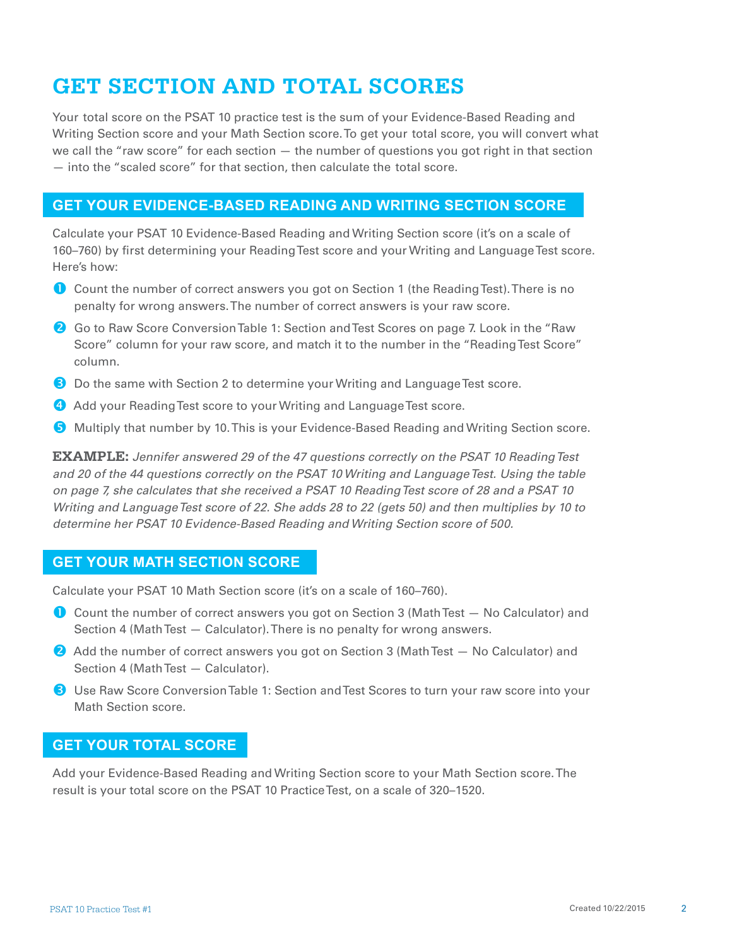### **GET SECTION AND TOTAL SCORES**

Your total score on the PSAT 10 practice test is the sum of your Evidence-Based Reading and Writing Section score and your Math Section score. To get your total score, you will convert what we call the "raw score" for each section — the number of questions you got right in that section — into the "scaled score" for that section, then calculate the total score.

#### **GET YOUR EVIDENCE-BASED READING AND WRITING SECTION SCORE**

Calculate your PSAT 10 Evidence-Based Reading and Writing Section score (it's on a scale of 160–760) by first determining your Reading Test score and your Writing and Language Test score. Here's how:

- Count the number of correct answers you got on Section 1 (the Reading Test). There is no penalty for wrong answers. The number of correct answers is your raw score.
- **2** Go to Raw Score Conversion Table 1: Section and Test Scores on page 7. Look in the "Raw Score" column for your raw score, and match it to the number in the "Reading Test Score" column.
- **B** Do the same with Section 2 to determine your Writing and Language Test score.
- Add your Reading Test score to your Writing and Language Test score.
- **G** Multiply that number by 10. This is your Evidence-Based Reading and Writing Section score.

**EXAMPLE:** *Jennifer answered 29 of the 47 questions correctly on the PSAT 10 Reading Test and 20 of the 44 questions correctly on the PSAT 10 Writing and Language Test. Using the table on page 7, she calculates that she received a PSAT 10 Reading Test score of 28 and a PSAT 10 Writing and Language Test score of 22. She adds 28 to 22 (gets 50) and then multiplies by 10 to determine her PSAT 10 Evidence-Based Reading and Writing Section score of 500.* 

#### **GET YOUR MATH SECTION SCORE**

Calculate your PSAT 10 Math Section score (it's on a scale of 160–760).

- Count the number of correct answers you got on Section 3 (Math Test No Calculator) and Section 4 (Math Test — Calculator). There is no penalty for wrong answers.
- Add the number of correct answers you got on Section 3 (Math Test No Calculator) and Section 4 (Math Test - Calculator).
- **B** Use Raw Score Conversion Table 1: Section and Test Scores to turn your raw score into your Math Section score.

#### **GET YOUR TOTAL SCORE**

Add your Evidence-Based Reading and Writing Section score to your Math Section score. The result is your total score on the PSAT 10 Practice Test, on a scale of 320–1520.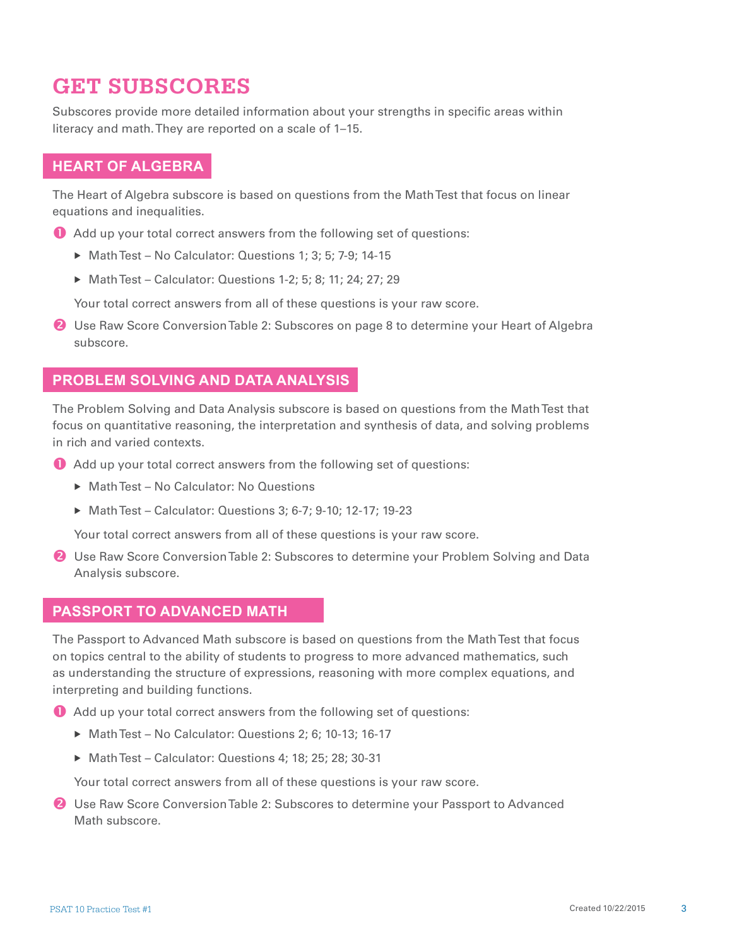### **GET SUBSCORES**

Subscores provide more detailed information about your strengths in specific areas within literacy and math. They are reported on a scale of 1–15.

#### **HEART OF ALGEBRA**

The Heart of Algebra subscore is based on questions from the Math Test that focus on linear equations and inequalities.

- Add up your total correct answers from the following set of questions:
	- ▶ Math Test No Calculator: Questions 1; 3; 5; 7-9; 14-15
	- ▶ Math Test Calculator: Questions 1-2; 5; 8; 11; 24; 27; 29

Your total correct answers from all of these questions is your raw score.

**2** Use Raw Score Conversion Table 2: Subscores on page 8 to determine your Heart of Algebra subscore.

#### **PROBLEM SOLVING AND DATA ANALYSIS**

The Problem Solving and Data Analysis subscore is based on questions from the Math Test that focus on quantitative reasoning, the interpretation and synthesis of data, and solving problems in rich and varied contexts.

- Add up your total correct answers from the following set of questions:
	- ▶ Math Test No Calculator: No Questions
	- ▶ Math Test Calculator: Questions 3; 6-7; 9-10; 12-17; 19-23

Your total correct answers from all of these questions is your raw score.

**2** Use Raw Score Conversion Table 2: Subscores to determine your Problem Solving and Data Analysis subscore.

#### **PASSPORT TO ADVANCED MATH**

The Passport to Advanced Math subscore is based on questions from the Math Test that focus on topics central to the ability of students to progress to more advanced mathematics, such as understanding the structure of expressions, reasoning with more complex equations, and interpreting and building functions.

Add up your total correct answers from the following set of questions:

- ▶ Math Test No Calculator: Questions 2; 6; 10-13; 16-17
- ▶ Math Test Calculator: Questions 4: 18: 25: 28: 30-31

Your total correct answers from all of these questions is your raw score.

**2** Use Raw Score Conversion Table 2: Subscores to determine your Passport to Advanced Math subscore.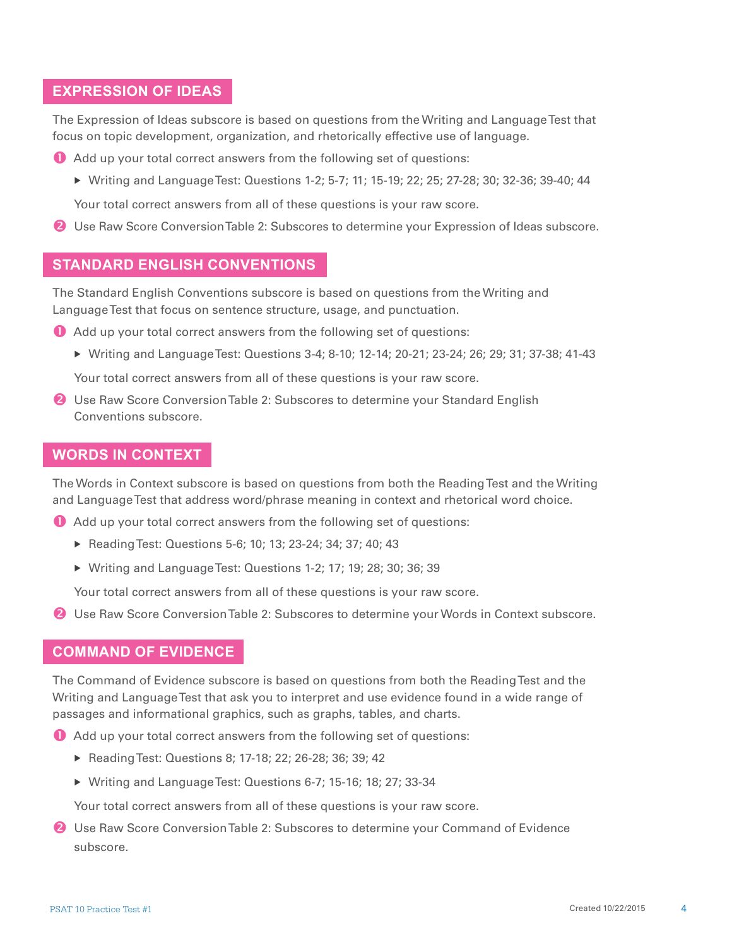#### **EXPRESSION OF IDEAS**

The Expression of Ideas subscore is based on questions from the Writing and Language Test that focus on topic development, organization, and rhetorically effective use of language.

- Add up your total correct answers from the following set of questions:
	- ▶ Writing and Language Test: Questions 1-2; 5-7; 11; 15-19; 22; 25; 27-28; 30; 32-36; 39-40; 44

Your total correct answers from all of these questions is your raw score.

Use Raw Score Conversion Table 2: Subscores to determine your Expression of Ideas subscore.

#### **STANDARD ENGLISH CONVENTIONS**

The Standard English Conventions subscore is based on questions from the Writing and Language Test that focus on sentence structure, usage, and punctuation.

- Add up your total correct answers from the following set of questions:
	- ▶ Writing and Language Test: Questions 3-4; 8-10; 12-14; 20-21; 23-24; 26; 29; 31; 37-38; 41-43

Your total correct answers from all of these questions is your raw score.

**2** Use Raw Score Conversion Table 2: Subscores to determine your Standard English Conventions subscore.

#### **WORDS IN CONTEXT**

The Words in Context subscore is based on questions from both the Reading Test and the Writing and Language Test that address word/phrase meaning in context and rhetorical word choice.

- Add up your total correct answers from the following set of questions:
	- ▶ Reading Test: Questions 5-6; 10; 13; 23-24; 34; 37; 40; 43
	- Writing and Language Test: Questions 1-2; 17; 19; 28; 30; 36; 39

Your total correct answers from all of these questions is your raw score.

**2** Use Raw Score Conversion Table 2: Subscores to determine your Words in Context subscore.

#### **COMMAND OF EVIDENCE**

The Command of Evidence subscore is based on questions from both the Reading Test and the Writing and Language Test that ask you to interpret and use evidence found in a wide range of passages and informational graphics, such as graphs, tables, and charts.

- Add up your total correct answers from the following set of questions:
	- ▶ Reading Test: Questions 8; 17-18; 22; 26-28; 36; 39; 42
	- Writing and Language Test: Questions 6-7; 15-16; 18; 27; 33-34

Your total correct answers from all of these questions is your raw score.

**2** Use Raw Score Conversion Table 2: Subscores to determine your Command of Evidence subscore.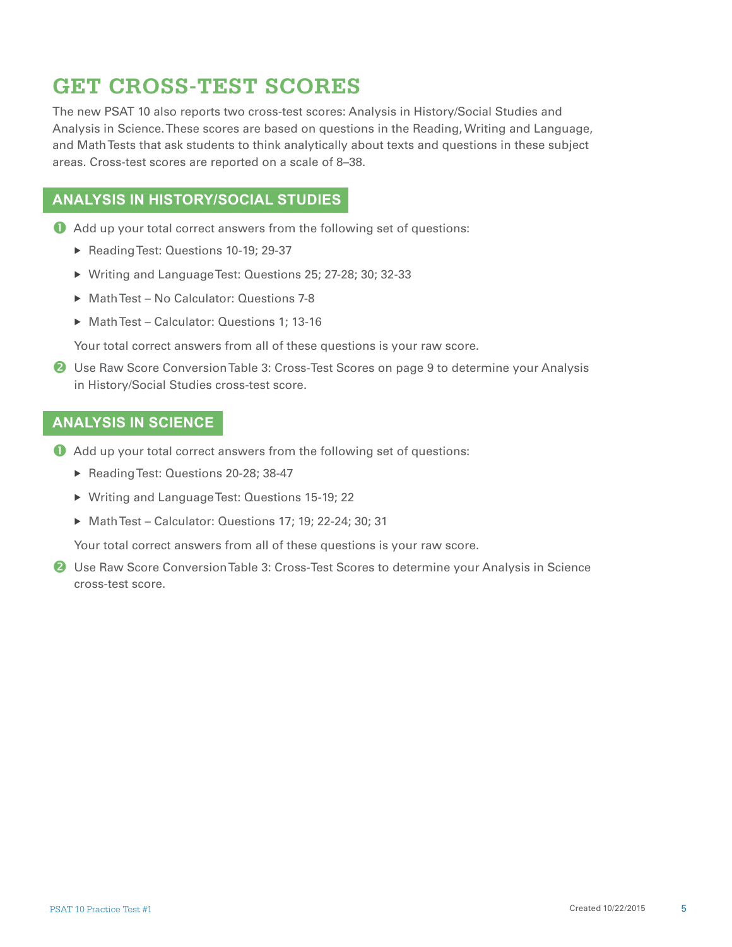### **GET CROSS-TEST SCORES**

The new PSAT 10 also reports two cross-test scores: Analysis in History/Social Studies and Analysis in Science. These scores are based on questions in the Reading, Writing and Language, and Math Tests that ask students to think analytically about texts and questions in these subject areas. Cross-test scores are reported on a scale of 8–38.

#### **ANALYSIS IN HISTORY/SOCIAL STUDIES**

- Add up your total correct answers from the following set of questions:
	- Reading Test: Questions 10-19; 29-37
	- Writing and Language Test: Questions 25; 27-28; 30; 32-33
	- ▶ Math Test No Calculator: Questions 7-8
	- ▶ Math Test Calculator: Questions 1; 13-16

Your total correct answers from all of these questions is your raw score.

**2** Use Raw Score Conversion Table 3: Cross-Test Scores on page 9 to determine your Analysis in History/Social Studies cross-test score.

#### **ANALYSIS IN SCIENCE**

- Add up your total correct answers from the following set of questions:
	- Reading Test: Questions 20-28; 38-47
	- Writing and Language Test: Questions 15-19; 22
	- Math Test Calculator: Questions 17; 19; 22-24; 30; 31

Your total correct answers from all of these questions is your raw score.

**2** Use Raw Score Conversion Table 3: Cross-Test Scores to determine your Analysis in Science cross-test score.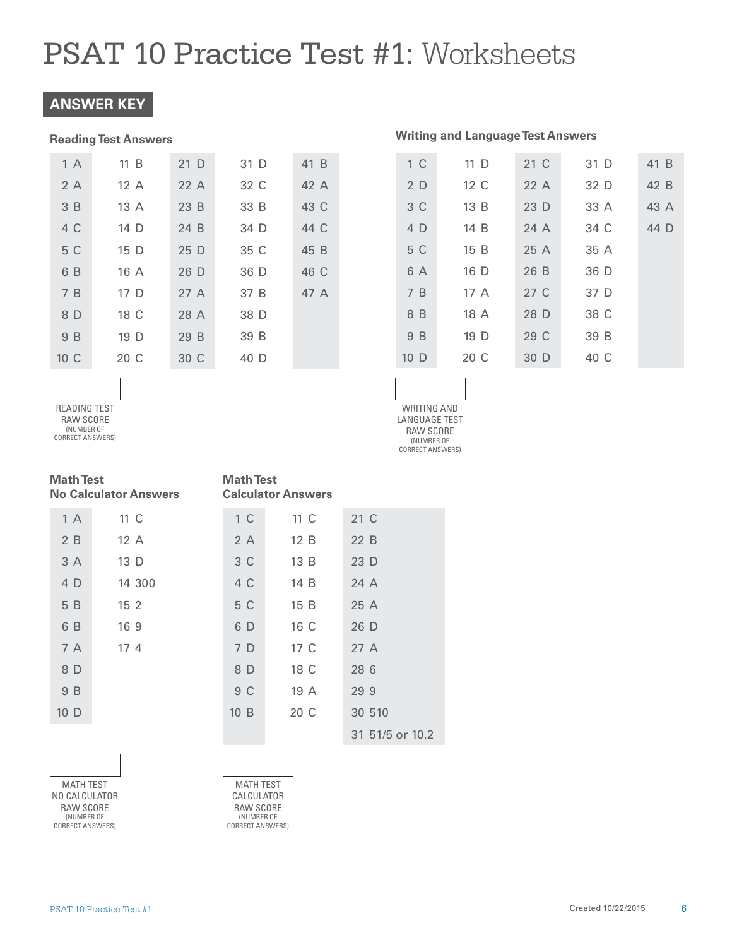#### **ANSWER KEY**

#### **Reading Test Answers**

| 1 A  | 11 B | 21 D | 31 D | 41 B |
|------|------|------|------|------|
| 2A   | 12A  | 22A  | 32 C | 42 A |
| 3B   | 13A  | 23B  | 33 B | 43 C |
| 4 C  | 14 D | 24 B | 34 D | 44 C |
| 5 C  | 15 D | 25 D | 35 C | 45 B |
| 6 B  | 16 A | 26 D | 36 D | 46 C |
| 7 B  | 17 D | 27A  | 37 B | 47 A |
| 8 D  | 18 C | 28 A | 38 D |      |
| 9 B  | 19 D | 29 B | 39 B |      |
| 10 C | 20 C | 30 C | 40 D |      |

| 1 C             | 11 D | 21 C | 31 D | 41 B |
|-----------------|------|------|------|------|
| 2D              | 12 C | 22A  | 32 D | 42 B |
| 3 C             | 13B  | 23 D | 33 A | 43 A |
| 4 D             | 14 B | 24A  | 34 C | 44 D |
| 5 C             | 15 B | 25 A | 35 A |      |
| 6 A             | 16 D | 26 B | 36 D |      |
| 7B              | 17 A | 27 C | 37 D |      |
| 8 B             | 18 A | 28 D | 38 C |      |
| 9 B             | 19 D | 29 C | 39 B |      |
| 10 <sub>D</sub> | 20 C | 30 D | 40 C |      |

**Writing and Language Test Answers** 

WRITING AND LANGUAGE TEST RAW SCORE (NUMBER OF CORRECT ANSWERS)

31 51/5 or 10.2

READING TEST RAW SCORE (NUMBER OF

(NUMBER OF<br>CORRECT ANSWERS)

| <b>Math Test</b><br><b>No Calculator Answers</b> |                 |                 | <b>Math Test</b><br><b>Calculator Answers</b> |  |  |
|--------------------------------------------------|-----------------|-----------------|-----------------------------------------------|--|--|
| 1 A                                              | $11 \, C$       | 1 C             | 11 C                                          |  |  |
| 2B                                               | 12 A            | 2 A             | 12B                                           |  |  |
| 3 A                                              | 13 D            | 3 C             | 13B                                           |  |  |
| 4 D                                              | 14 300          | 4 C             | 14 B                                          |  |  |
| 5 B                                              | 15 <sub>2</sub> | 5 C             | 15B                                           |  |  |
| 6 B                                              | 169             | 6 D             | 16 C                                          |  |  |
| 7 A                                              | 17 <sub>4</sub> | 7 D             | 17 C                                          |  |  |
| 8 D                                              |                 | 8 D             | 18 C                                          |  |  |
| 9 B                                              |                 | 9 C             | 19 A                                          |  |  |
| 10 D                                             |                 | 10 <sub>B</sub> | 20 C                                          |  |  |
|                                                  |                 |                 |                                               |  |  |

MATH TEST NO CALCULATOR RAW SCORE (NUMBER OF CORRECT ANSWERS)

MATH TEST CALCULATOR RAW SCORE (NUMBER OF CORRECT ANSWERS)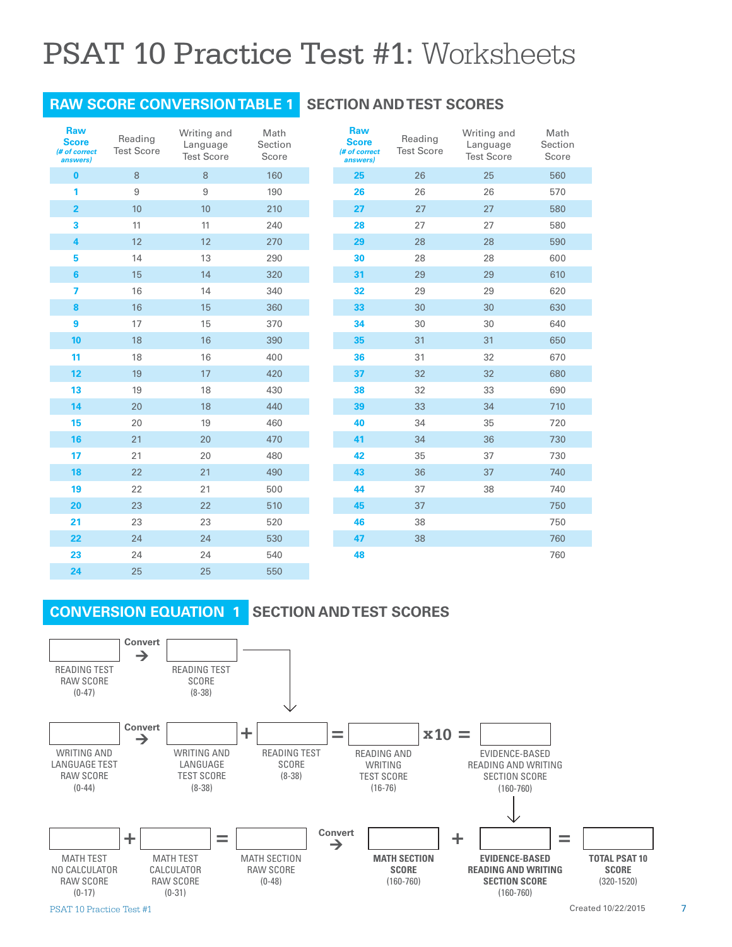#### **RAW SCORE CONVERSION TABLE 1 SECTION AND TEST SCORES**

| <b>Raw</b><br><b>Score</b><br>(# of correct<br>answers) | Reading<br><b>Test Score</b> | Writing and<br>Language<br><b>Test Score</b> | Math<br>Section<br>Score | Raw<br><b>Score</b><br>(# of corre<br>answers |
|---------------------------------------------------------|------------------------------|----------------------------------------------|--------------------------|-----------------------------------------------|
| $\bf{0}$                                                | 8                            | 8                                            | 160                      | 25                                            |
| 1                                                       | 9                            | 9                                            | 190                      | 26                                            |
| $\overline{\mathbf{2}}$                                 | 10                           | 10                                           | 210                      | 27                                            |
| 3                                                       | 11                           | 11                                           | 240                      | 28                                            |
| 4                                                       | 12                           | 12                                           | 270                      | 29                                            |
| 5                                                       | 14                           | 13                                           | 290                      | 30                                            |
| 6                                                       | 15                           | 14                                           | 320                      | 31                                            |
| 7                                                       | 16                           | 14                                           | 340                      | 32                                            |
| 8                                                       | 16                           | 15                                           | 360                      | 33                                            |
| 9                                                       | 17                           | 15                                           | 370                      | 34                                            |
| 10                                                      | 18                           | 16                                           | 390                      | 35                                            |
| 11                                                      | 18                           | 16                                           | 400                      | 36                                            |
| 12                                                      | 19                           | 17                                           | 420                      | 37                                            |
| 13                                                      | 19                           | 18                                           | 430                      | 38                                            |
| 14                                                      | 20                           | 18                                           | 440                      | 39                                            |
| 15                                                      | 20                           | 19                                           | 460                      | 40                                            |
| 16                                                      | 21                           | 20                                           | 470                      | 41                                            |
| 17                                                      | 21                           | 20                                           | 480                      | 42                                            |
| 18                                                      | 22                           | 21                                           | 490                      | 43                                            |
| 19                                                      | 22                           | 21                                           | 500                      | 44                                            |
| 20                                                      | 23                           | 22                                           | 510                      | 45                                            |
| 21                                                      | 23                           | 23                                           | 520                      | 46                                            |
| 22                                                      | 24                           | 24                                           | 530                      | 47                                            |
| 23                                                      | 24                           | 24                                           | 540                      | 48                                            |
| 24                                                      | 25                           | 25                                           | 550                      |                                               |

| ding<br>Score   | Writing and<br>Language<br><b>Test Score</b> | Math<br>Section<br>Score | <b>Kaw</b><br><b>Score</b><br>(# of correct<br>answers) | Reading<br><b>Test Score</b> | Writing and<br>Language<br><b>Test Score</b> | Math<br>Section<br>Score |
|-----------------|----------------------------------------------|--------------------------|---------------------------------------------------------|------------------------------|----------------------------------------------|--------------------------|
| 8               | 8                                            | 160                      | 25                                                      | 26                           | 25                                           | 560                      |
| 9               | 9                                            | 190                      | 26                                                      | 26                           | 26                                           | 570                      |
| $\overline{10}$ | 10                                           | 210                      | 27                                                      | 27                           | 27                                           | 580                      |
| 11              | 11                                           | 240                      | 28                                                      | 27                           | 27                                           | 580                      |
| 12              | 12                                           | 270                      | 29                                                      | 28                           | 28                                           | 590                      |
| 14              | 13                                           | 290                      | 30                                                      | 28                           | 28                                           | 600                      |
| 15              | 14                                           | 320                      | 31                                                      | 29                           | 29                                           | 610                      |
| 16              | 14                                           | 340                      | 32                                                      | 29                           | 29                                           | 620                      |
| 16              | 15                                           | 360                      | 33                                                      | 30                           | 30                                           | 630                      |
| 17              | 15                                           | 370                      | 34                                                      | 30                           | 30                                           | 640                      |
| 18              | 16                                           | 390                      | 35                                                      | 31                           | 31                                           | 650                      |
| 18              | 16                                           | 400                      | 36                                                      | 31                           | 32                                           | 670                      |
| 19              | 17                                           | 420                      | 37                                                      | 32                           | 32                                           | 680                      |
| 19              | 18                                           | 430                      | 38                                                      | 32                           | 33                                           | 690                      |
| 20              | 18                                           | 440                      | 39                                                      | 33                           | 34                                           | 710                      |
| 20              | 19                                           | 460                      | 40                                                      | 34                           | 35                                           | 720                      |
| 21              | 20                                           | 470                      | 41                                                      | 34                           | 36                                           | 730                      |
| $\overline{21}$ | 20                                           | 480                      | 42                                                      | 35                           | 37                                           | 730                      |
| $^{22}$         | 21                                           | 490                      | 43                                                      | 36                           | 37                                           | 740                      |
| $^{22}$         | 21                                           | 500                      | 44                                                      | 37                           | 38                                           | 740                      |
| 23              | 22                                           | 510                      | 45                                                      | 37                           |                                              | 750                      |
| 53              | 23                                           | 520                      | 46                                                      | 38                           |                                              | 750                      |
| 24              | 24                                           | 530                      | 47                                                      | 38                           |                                              | 760                      |
| 24              | 24                                           | 540                      | 48                                                      |                              |                                              | 760                      |
|                 |                                              |                          |                                                         |                              |                                              |                          |

#### **CONVERSION EQUATION 1**

#### **SECTION AND TEST SCORES**

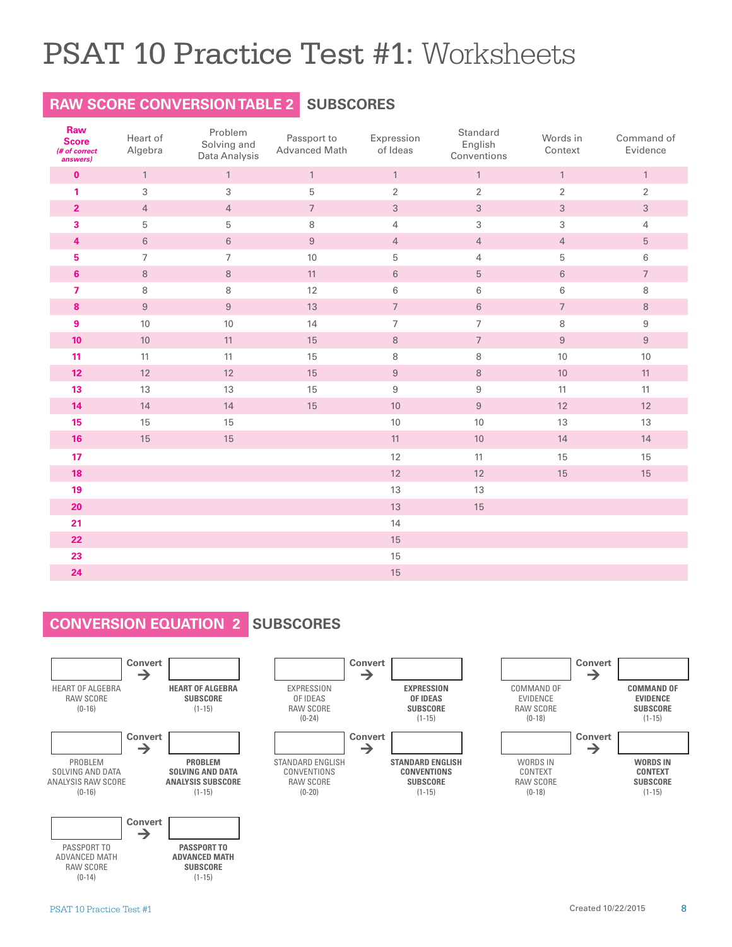#### **RAW SCORE CONVERSION TABLE 2 SUBSCORES**

| Raw<br><b>Score</b><br>(# of correct<br>answers) | Heart of<br>Algebra | Problem<br>Solving and<br>Data Analysis | Passport to<br>Advanced Math | Expression<br>of Ideas | Standard<br>English<br>Conventions | Words in<br>Context | Command of<br>Evidence |
|--------------------------------------------------|---------------------|-----------------------------------------|------------------------------|------------------------|------------------------------------|---------------------|------------------------|
| $\pmb{0}$                                        | $\mathbf{1}$        | $\mathbf{1}$                            | $\mathbf{1}$                 | $\mathbf{1}$           | $\mathbf{1}$                       | $\mathbf{1}$        | $\mathbf{1}$           |
| 1                                                | 3                   | $\mathfrak{Z}$                          | $\mathbf 5$                  | $\sqrt{2}$             | $\sqrt{2}$                         | $\overline{2}$      | $\overline{2}$         |
| $\overline{\mathbf{2}}$                          | $\overline{4}$      | $\overline{4}$                          | $\overline{7}$               | $\sqrt{3}$             | $\sqrt{3}$                         | $\mathfrak{S}$      | $\mathfrak{S}$         |
| 3                                                | 5                   | 5                                       | 8                            | $\overline{4}$         | 3                                  | 3                   | $\overline{4}$         |
| 4                                                | $\,6\,$             | 6                                       | $\boldsymbol{9}$             | $\overline{4}$         | $\overline{4}$                     | $\overline{4}$      | $\sqrt{5}$             |
| 5                                                | $\overline{7}$      | $\overline{7}$                          | 10                           | $\mathbf 5$            | 4                                  | 5                   | 6                      |
| $6\phantom{1}$                                   | $\,8\,$             | $\,8\,$                                 | 11                           | $\,6\,$                | $\mathbf 5$                        | $\,6\,$             | $\overline{7}$         |
| $\overline{ }$                                   | 8                   | $\,8\,$                                 | 12                           | $\,6\,$                | $\,6\,$                            | $\,6\,$             | $\,8\,$                |
| 8                                                | $\,9$               | $\boldsymbol{9}$                        | 13                           | $\sqrt{ }$             | $\,6\,$                            | $\overline{7}$      | $\,8\,$                |
| $\boldsymbol{9}$                                 | 10                  | 10                                      | 14                           | $\overline{7}$         | $\overline{7}$                     | 8                   | $\boldsymbol{9}$       |
| 10                                               | 10                  | 11                                      | 15                           | $\,8\,$                | $\overline{\phantom{a}}$           | $\boldsymbol{9}$    | $9\,$                  |
| 11                                               | 11                  | 11                                      | 15                           | $\,8\,$                | $\,8\,$                            | 10                  | 10                     |
| 12 <sub>2</sub>                                  | 12                  | 12                                      | 15                           | $\boldsymbol{9}$       | $\,8\,$                            | $10$                | 11                     |
| 13                                               | 13                  | 13                                      | 15                           | $\boldsymbol{9}$       | $\boldsymbol{9}$                   | 11                  | 11                     |
| 14                                               | 14                  | 14                                      | 15                           | 10                     | $\boldsymbol{9}$                   | 12                  | 12                     |
| 15                                               | 15                  | 15                                      |                              | $10$                   | 10                                 | 13                  | 13                     |
| 16                                               | 15                  | 15                                      |                              | 11                     | 10                                 | 14                  | 14                     |
| 17                                               |                     |                                         |                              | 12                     | 11                                 | 15                  | 15                     |
| 18                                               |                     |                                         |                              | 12                     | 12                                 | 15                  | 15                     |
| 19                                               |                     |                                         |                              | 13                     | 13                                 |                     |                        |
| 20                                               |                     |                                         |                              | 13                     | 15                                 |                     |                        |
| 21                                               |                     |                                         |                              | 14                     |                                    |                     |                        |
| 22                                               |                     |                                         |                              | 15                     |                                    |                     |                        |
| 23                                               |                     |                                         |                              | 15                     |                                    |                     |                        |
| 24                                               |                     |                                         |                              | 15                     |                                    |                     |                        |

#### **CONVERSION EQUATION 2 SUBSCORES**